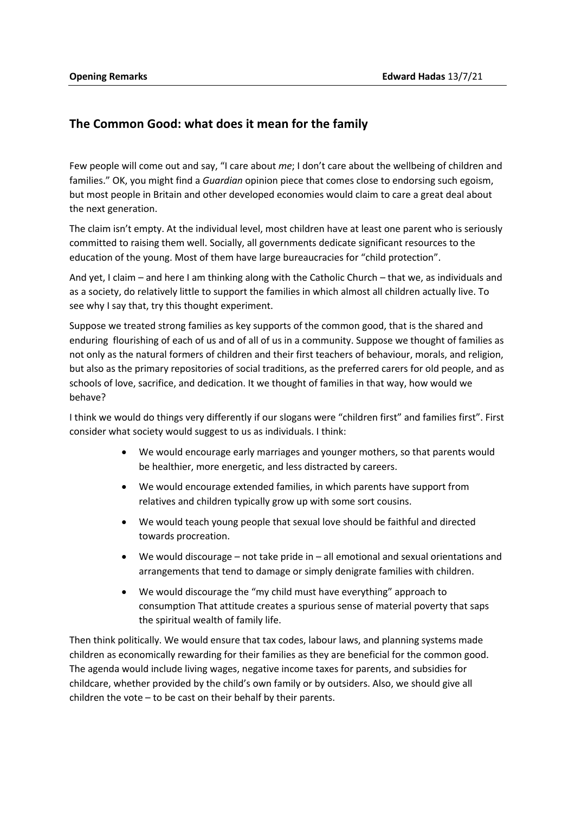## **The Common Good: what does it mean for the family**

Few people will come out and say, "I care about *me*; I don't care about the wellbeing of children and families." OK, you might find a *Guardian* opinion piece that comes close to endorsing such egoism, but most people in Britain and other developed economies would claim to care a great deal about the next generation.

The claim isn't empty. At the individual level, most children have at least one parent who is seriously committed to raising them well. Socially, all governments dedicate significant resources to the education of the young. Most of them have large bureaucracies for "child protection".

And yet, I claim – and here I am thinking along with the Catholic Church – that we, as individuals and as a society, do relatively little to support the families in which almost all children actually live. To see why I say that, try this thought experiment.

Suppose we treated strong families as key supports of the common good, that is the shared and enduring flourishing of each of us and of all of us in a community. Suppose we thought of families as not only as the natural formers of children and their first teachers of behaviour, morals, and religion, but also as the primary repositories of social traditions, as the preferred carers for old people, and as schools of love, sacrifice, and dedication. It we thought of families in that way, how would we behave?

I think we would do things very differently if our slogans were "children first" and families first". First consider what society would suggest to us as individuals. I think:

- We would encourage early marriages and younger mothers, so that parents would be healthier, more energetic, and less distracted by careers.
- We would encourage extended families, in which parents have support from relatives and children typically grow up with some sort cousins.
- We would teach young people that sexual love should be faithful and directed towards procreation.
- We would discourage not take pride in all emotional and sexual orientations and arrangements that tend to damage or simply denigrate families with children.
- We would discourage the "my child must have everything" approach to consumption That attitude creates a spurious sense of material poverty that saps the spiritual wealth of family life.

Then think politically. We would ensure that tax codes, labour laws, and planning systems made children as economically rewarding for their families as they are beneficial for the common good. The agenda would include living wages, negative income taxes for parents, and subsidies for childcare, whether provided by the child's own family or by outsiders. Also, we should give all children the vote – to be cast on their behalf by their parents.